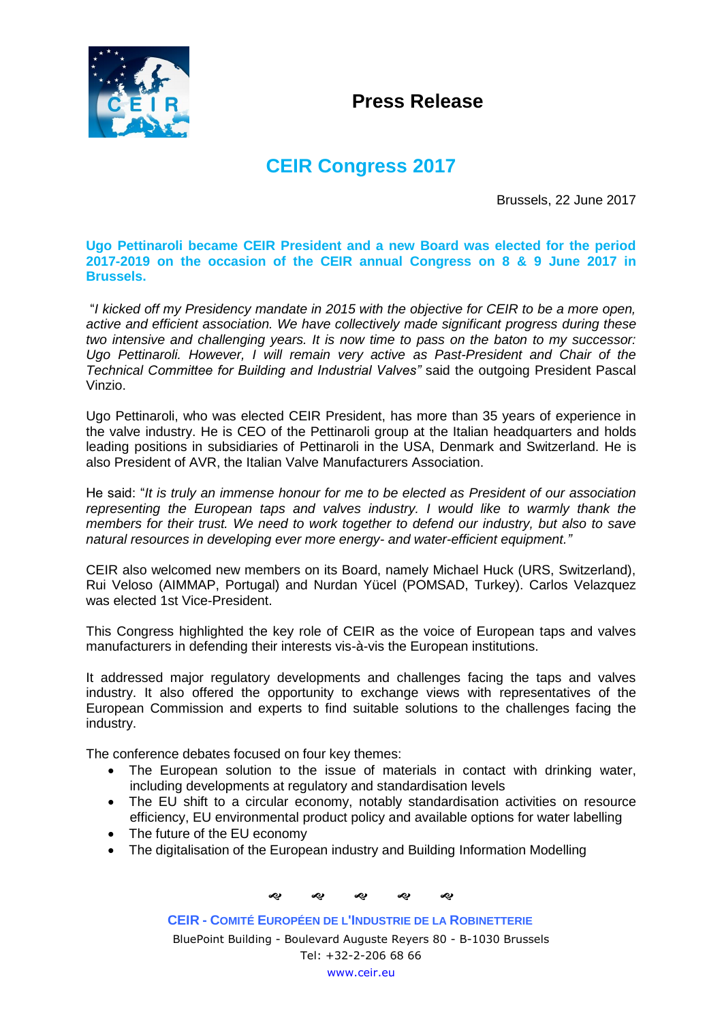

## **Press Release**

## **CEIR Congress 2017**

Brussels, 22 June 2017

## **Ugo Pettinaroli became CEIR President and a new Board was elected for the period 2017-2019 on the occasion of the CEIR annual Congress on 8 & 9 June 2017 in Brussels.**

"*I kicked off my Presidency mandate in 2015 with the objective for CEIR to be a more open, active and efficient association. We have collectively made significant progress during these two intensive and challenging years. It is now time to pass on the baton to my successor: Ugo Pettinaroli. However, I will remain very active as Past-President and Chair of the Technical Committee for Building and Industrial Valves"* said the outgoing President Pascal Vinzio.

Ugo Pettinaroli, who was elected CEIR President, has more than 35 years of experience in the valve industry. He is CEO of the Pettinaroli group at the Italian headquarters and holds leading positions in subsidiaries of Pettinaroli in the USA, Denmark and Switzerland. He is also President of AVR, the Italian Valve Manufacturers Association.

He said: "*It is truly an immense honour for me to be elected as President of our association representing the European taps and valves industry. I would like to warmly thank the members for their trust. We need to work together to defend our industry, but also to save natural resources in developing ever more energy- and water-efficient equipment."*

CEIR also welcomed new members on its Board, namely Michael Huck (URS, Switzerland), Rui Veloso (AIMMAP, Portugal) and Nurdan Yücel (POMSAD, Turkey). Carlos Velazquez was elected 1st Vice-President.

This Congress highlighted the key role of CEIR as the voice of European taps and valves manufacturers in defending their interests vis-à-vis the European institutions.

It addressed major regulatory developments and challenges facing the taps and valves industry. It also offered the opportunity to exchange views with representatives of the European Commission and experts to find suitable solutions to the challenges facing the industry.

The conference debates focused on four key themes:

- The European solution to the issue of materials in contact with drinking water, including developments at regulatory and standardisation levels
- The EU shift to a circular economy, notably standardisation activities on resource efficiency, EU environmental product policy and available options for water labelling
- The future of the EU economy
- The digitalisation of the European industry and Building Information Modelling

ଶ ଶ ଶ ଶ ଶ

**CEIR - COMITÉ EUROPÉEN DE L'INDUSTRIE DE LA ROBINETTERIE** BluePoint Building - Boulevard Auguste Reyers 80 - B-1030 Brussels Tel: +32-2-206 68 66 [www.ceir.eu](http://www.ceir.eu/)